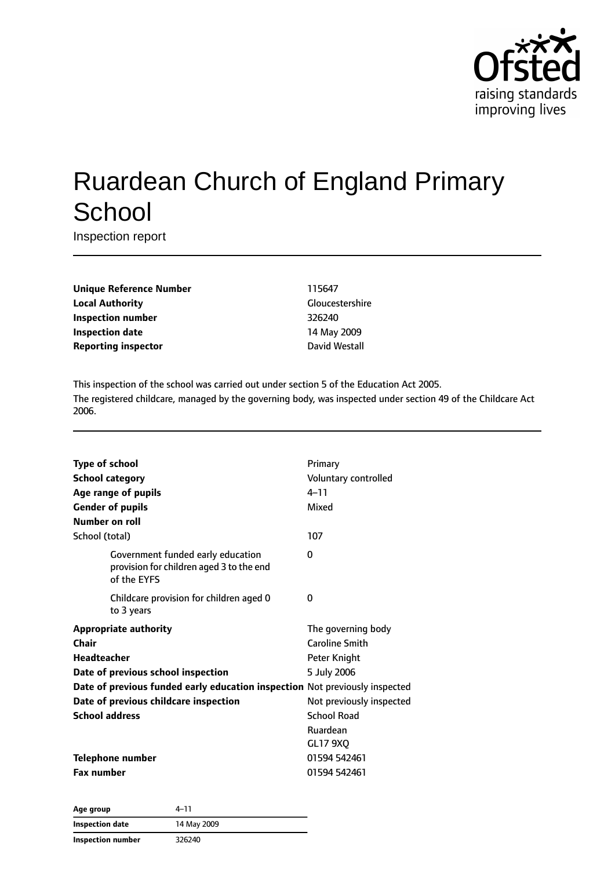

# Ruardean Church of England Primary **School**

Inspection report

**Unique Reference Number** 115647 **Local Authority** Gloucestershire **Inspection number** 326240 **Inspection date** 14 May 2009 **Reporting inspector David Westall** 

This inspection of the school was carried out under section 5 of the Education Act 2005. The registered childcare, managed by the governing body, was inspected under section 49 of the Childcare Act 2006.

| <b>Type of school</b><br><b>School category</b><br>Age range of pupils<br><b>Gender of pupils</b><br>Number on roll | Primary<br>Voluntary controlled<br>$4 - 11$<br>Mixed |
|---------------------------------------------------------------------------------------------------------------------|------------------------------------------------------|
| School (total)                                                                                                      | 107                                                  |
| Government funded early education<br>provision for children aged 3 to the end<br>of the EYFS                        | 0                                                    |
| Childcare provision for children aged 0<br>to 3 years                                                               | 0                                                    |
| <b>Appropriate authority</b>                                                                                        | The governing body                                   |
| Chair                                                                                                               | <b>Caroline Smith</b>                                |
| <b>Headteacher</b>                                                                                                  | Peter Knight                                         |
| Date of previous school inspection                                                                                  | 5 July 2006                                          |
| Date of previous funded early education inspection Not previously inspected                                         |                                                      |
| Date of previous childcare inspection                                                                               | Not previously inspected                             |
| <b>School address</b>                                                                                               | <b>School Road</b>                                   |
|                                                                                                                     | Ruardean                                             |
|                                                                                                                     | <b>GL17 9XQ</b>                                      |
| <b>Telephone number</b>                                                                                             | 01594 542461                                         |
| <b>Fax number</b>                                                                                                   | 01594 542461                                         |

| Age group                | 4–11        |
|--------------------------|-------------|
| <b>Inspection date</b>   | 14 May 2009 |
| <b>Inspection number</b> | 326240      |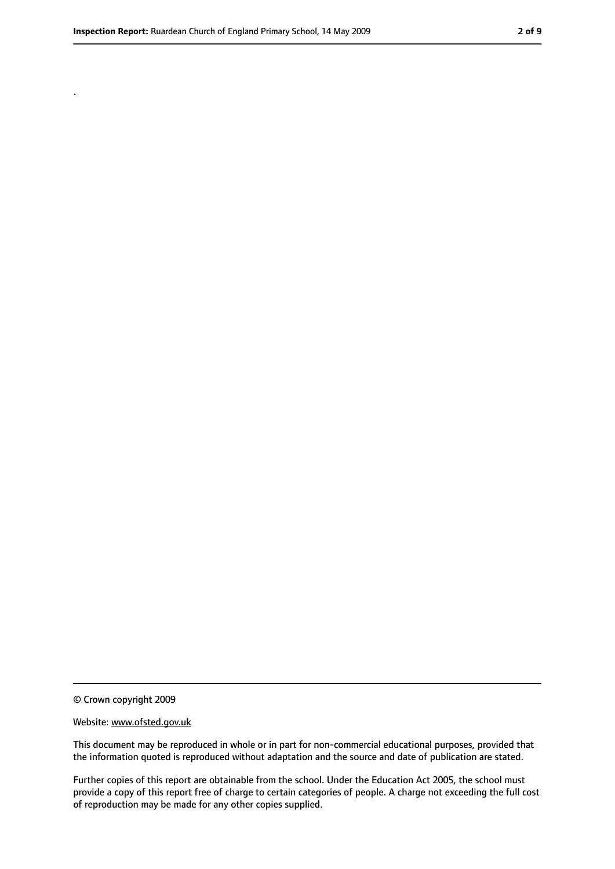.

© Crown copyright 2009

#### Website: www.ofsted.gov.uk

This document may be reproduced in whole or in part for non-commercial educational purposes, provided that the information quoted is reproduced without adaptation and the source and date of publication are stated.

Further copies of this report are obtainable from the school. Under the Education Act 2005, the school must provide a copy of this report free of charge to certain categories of people. A charge not exceeding the full cost of reproduction may be made for any other copies supplied.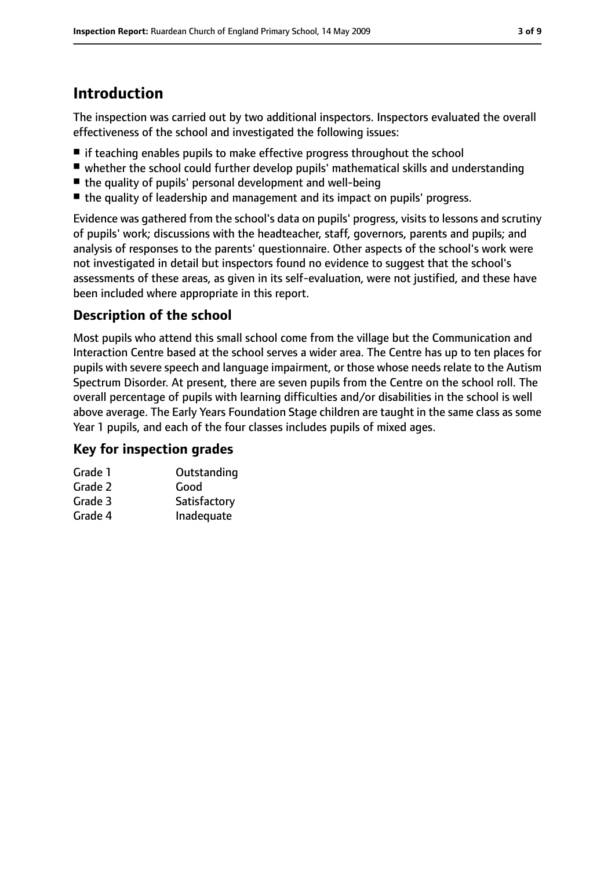# **Introduction**

The inspection was carried out by two additional inspectors. Inspectors evaluated the overall effectiveness of the school and investigated the following issues:

- if teaching enables pupils to make effective progress throughout the school
- whether the school could further develop pupils' mathematical skills and understanding
- the quality of pupils' personal development and well-being
- the quality of leadership and management and its impact on pupils' progress.

Evidence was gathered from the school's data on pupils' progress, visits to lessons and scrutiny of pupils' work; discussions with the headteacher, staff, governors, parents and pupils; and analysis of responses to the parents' questionnaire. Other aspects of the school's work were not investigated in detail but inspectors found no evidence to suggest that the school's assessments of these areas, as given in its self-evaluation, were not justified, and these have been included where appropriate in this report.

# **Description of the school**

Most pupils who attend this small school come from the village but the Communication and Interaction Centre based at the school serves a wider area. The Centre has up to ten places for pupils with severe speech and language impairment, or those whose needs relate to the Autism Spectrum Disorder. At present, there are seven pupils from the Centre on the school roll. The overall percentage of pupils with learning difficulties and/or disabilities in the school is well above average. The Early Years Foundation Stage children are taught in the same class as some Year 1 pupils, and each of the four classes includes pupils of mixed ages.

# **Key for inspection grades**

| Outstanding  |
|--------------|
| Good         |
| Satisfactory |
| Inadequate   |
|              |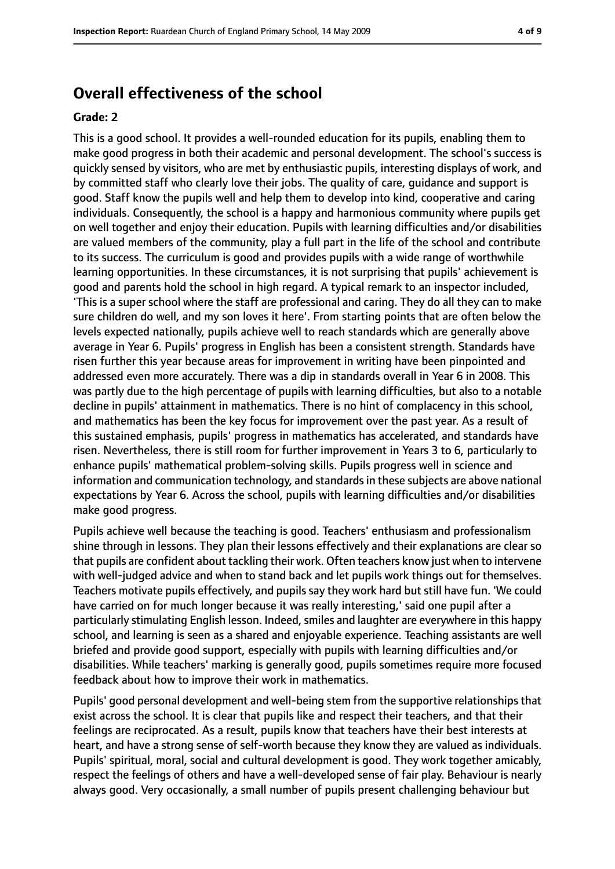# **Overall effectiveness of the school**

#### **Grade: 2**

This is a good school. It provides a well-rounded education for its pupils, enabling them to make good progress in both their academic and personal development. The school's success is quickly sensed by visitors, who are met by enthusiastic pupils, interesting displays of work, and by committed staff who clearly love their jobs. The quality of care, guidance and support is good. Staff know the pupils well and help them to develop into kind, cooperative and caring individuals. Consequently, the school is a happy and harmonious community where pupils get on well together and enjoy their education. Pupils with learning difficulties and/or disabilities are valued members of the community, play a full part in the life of the school and contribute to its success. The curriculum is good and provides pupils with a wide range of worthwhile learning opportunities. In these circumstances, it is not surprising that pupils' achievement is good and parents hold the school in high regard. A typical remark to an inspector included, 'This is a super school where the staff are professional and caring. They do all they can to make sure children do well, and my son loves it here'. From starting points that are often below the levels expected nationally, pupils achieve well to reach standards which are generally above average in Year 6. Pupils' progress in English has been a consistent strength. Standards have risen further this year because areas for improvement in writing have been pinpointed and addressed even more accurately. There was a dip in standards overall in Year 6 in 2008. This was partly due to the high percentage of pupils with learning difficulties, but also to a notable decline in pupils' attainment in mathematics. There is no hint of complacency in this school, and mathematics has been the key focus for improvement over the past year. As a result of this sustained emphasis, pupils' progress in mathematics has accelerated, and standards have risen. Nevertheless, there is still room for further improvement in Years 3 to 6, particularly to enhance pupils' mathematical problem-solving skills. Pupils progress well in science and information and communication technology, and standardsin these subjects are above national expectations by Year 6. Across the school, pupils with learning difficulties and/or disabilities make good progress.

Pupils achieve well because the teaching is good. Teachers' enthusiasm and professionalism shine through in lessons. They plan their lessons effectively and their explanations are clear so that pupils are confident about tackling their work. Often teachers know just when to intervene with well-judged advice and when to stand back and let pupils work things out for themselves. Teachers motivate pupils effectively, and pupils say they work hard but still have fun. 'We could have carried on for much longer because it was really interesting,' said one pupil after a particularly stimulating English lesson. Indeed, smiles and laughter are everywhere in this happy school, and learning is seen as a shared and enjoyable experience. Teaching assistants are well briefed and provide good support, especially with pupils with learning difficulties and/or disabilities. While teachers' marking is generally good, pupils sometimes require more focused feedback about how to improve their work in mathematics.

Pupils' good personal development and well-being stem from the supportive relationships that exist across the school. It is clear that pupils like and respect their teachers, and that their feelings are reciprocated. As a result, pupils know that teachers have their best interests at heart, and have a strong sense of self-worth because they know they are valued as individuals. Pupils' spiritual, moral, social and cultural development is good. They work together amicably, respect the feelings of others and have a well-developed sense of fair play. Behaviour is nearly always good. Very occasionally, a small number of pupils present challenging behaviour but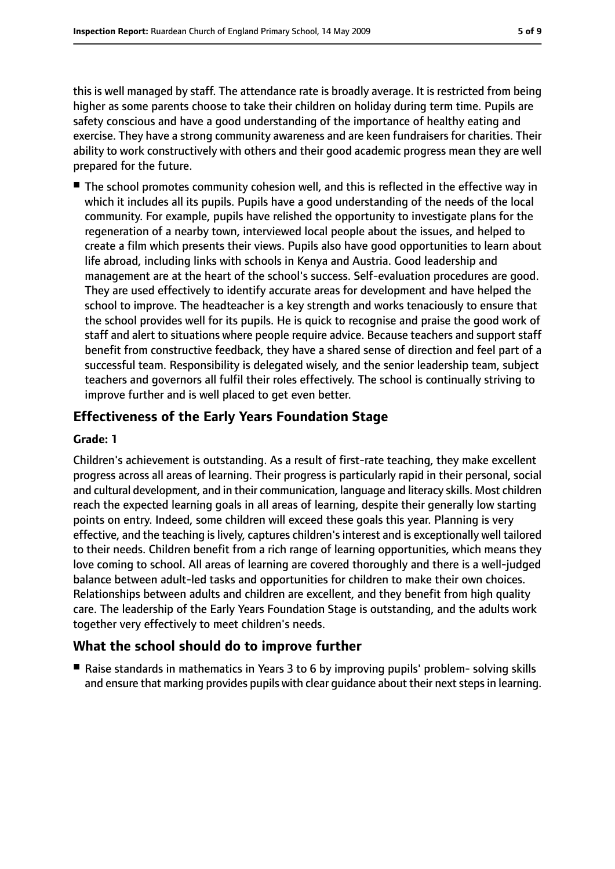this is well managed by staff. The attendance rate is broadly average. It is restricted from being higher as some parents choose to take their children on holiday during term time. Pupils are safety conscious and have a good understanding of the importance of healthy eating and exercise. They have a strong community awareness and are keen fundraisers for charities. Their ability to work constructively with others and their good academic progress mean they are well prepared for the future.

■ The school promotes community cohesion well, and this is reflected in the effective way in which it includes all its pupils. Pupils have a good understanding of the needs of the local community. For example, pupils have relished the opportunity to investigate plans for the regeneration of a nearby town, interviewed local people about the issues, and helped to create a film which presents their views. Pupils also have good opportunities to learn about life abroad, including links with schools in Kenya and Austria. Good leadership and management are at the heart of the school's success. Self-evaluation procedures are good. They are used effectively to identify accurate areas for development and have helped the school to improve. The headteacher is a key strength and works tenaciously to ensure that the school provides well for its pupils. He is quick to recognise and praise the good work of staff and alert to situations where people require advice. Because teachers and support staff benefit from constructive feedback, they have a shared sense of direction and feel part of a successful team. Responsibility is delegated wisely, and the senior leadership team, subject teachers and governors all fulfil their roles effectively. The school is continually striving to improve further and is well placed to get even better.

### **Effectiveness of the Early Years Foundation Stage**

### **Grade: 1**

Children's achievement is outstanding. As a result of first-rate teaching, they make excellent progress across all areas of learning. Their progress is particularly rapid in their personal, social and cultural development, and in their communication, language and literacy skills. Most children reach the expected learning goals in all areas of learning, despite their generally low starting points on entry. Indeed, some children will exceed these goals this year. Planning is very effective, and the teaching is lively, captures children's interest and is exceptionally well tailored to their needs. Children benefit from a rich range of learning opportunities, which means they love coming to school. All areas of learning are covered thoroughly and there is a well-judged balance between adult-led tasks and opportunities for children to make their own choices. Relationships between adults and children are excellent, and they benefit from high quality care. The leadership of the Early Years Foundation Stage is outstanding, and the adults work together very effectively to meet children's needs.

### **What the school should do to improve further**

■ Raise standards in mathematics in Years 3 to 6 by improving pupils' problem- solving skills and ensure that marking provides pupils with clear guidance about their next steps in learning.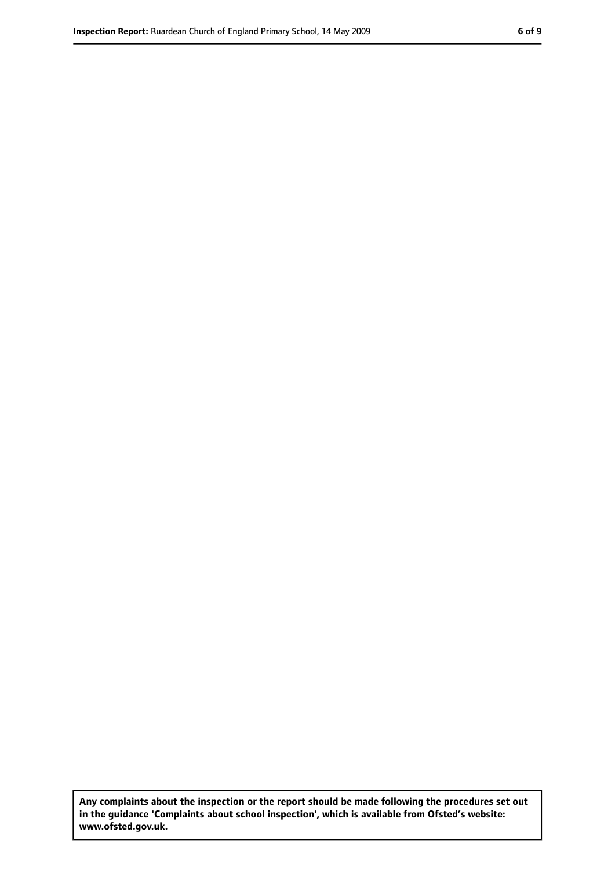**Any complaints about the inspection or the report should be made following the procedures set out in the guidance 'Complaints about school inspection', which is available from Ofsted's website: www.ofsted.gov.uk.**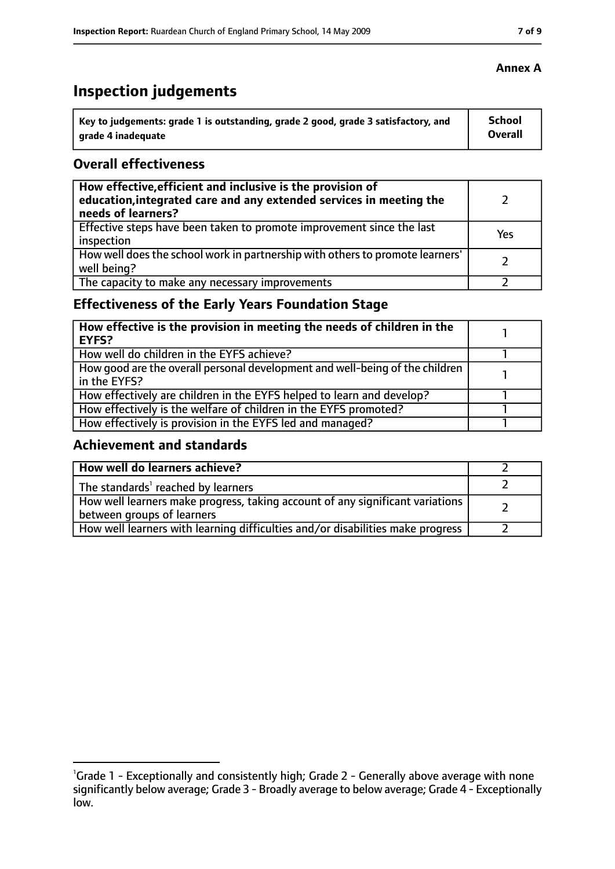# **Inspection judgements**

| Key to judgements: grade 1 is outstanding, grade 2 good, grade 3 satisfactory, and | <b>School</b> |
|------------------------------------------------------------------------------------|---------------|
| arade 4 inadequate                                                                 | Overall       |

### **Overall effectiveness**

| How effective, efficient and inclusive is the provision of<br>education, integrated care and any extended services in meeting the<br>needs of learners? |     |
|---------------------------------------------------------------------------------------------------------------------------------------------------------|-----|
| Effective steps have been taken to promote improvement since the last<br>inspection                                                                     | Yes |
| How well does the school work in partnership with others to promote learners'<br>well being?                                                            |     |
| The capacity to make any necessary improvements                                                                                                         |     |

# **Effectiveness of the Early Years Foundation Stage**

| How effective is the provision in meeting the needs of children in the<br>l EYFS?            |  |
|----------------------------------------------------------------------------------------------|--|
| How well do children in the EYFS achieve?                                                    |  |
| How good are the overall personal development and well-being of the children<br>in the EYFS? |  |
| How effectively are children in the EYFS helped to learn and develop?                        |  |
| How effectively is the welfare of children in the EYFS promoted?                             |  |
| How effectively is provision in the EYFS led and managed?                                    |  |

# **Achievement and standards**

| How well do learners achieve?                                                                               |  |
|-------------------------------------------------------------------------------------------------------------|--|
| The standards <sup>1</sup> reached by learners                                                              |  |
| How well learners make progress, taking account of any significant variations<br>between groups of learners |  |
| How well learners with learning difficulties and/or disabilities make progress                              |  |

<sup>&</sup>lt;sup>1</sup>Grade 1 - Exceptionally and consistently high; Grade 2 - Generally above average with none significantly below average; Grade 3 - Broadly average to below average; Grade 4 - Exceptionally low.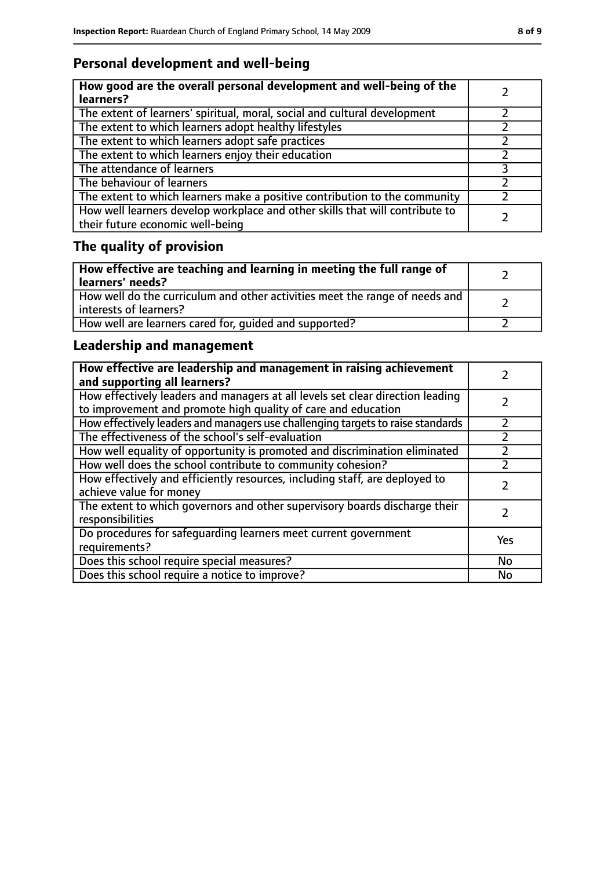# **Personal development and well-being**

| How good are the overall personal development and well-being of the<br>learners?                                 |  |
|------------------------------------------------------------------------------------------------------------------|--|
| The extent of learners' spiritual, moral, social and cultural development                                        |  |
| The extent to which learners adopt healthy lifestyles                                                            |  |
| The extent to which learners adopt safe practices                                                                |  |
| The extent to which learners enjoy their education                                                               |  |
| The attendance of learners                                                                                       |  |
| The behaviour of learners                                                                                        |  |
| The extent to which learners make a positive contribution to the community                                       |  |
| How well learners develop workplace and other skills that will contribute to<br>their future economic well-being |  |

# **The quality of provision**

| How effective are teaching and learning in meeting the full range of<br>learners' needs?              |  |
|-------------------------------------------------------------------------------------------------------|--|
| How well do the curriculum and other activities meet the range of needs and<br>interests of learners? |  |
| How well are learners cared for, quided and supported?                                                |  |

# **Leadership and management**

| How effective are leadership and management in raising achievement<br>and supporting all learners?                                              |           |
|-------------------------------------------------------------------------------------------------------------------------------------------------|-----------|
| How effectively leaders and managers at all levels set clear direction leading<br>to improvement and promote high quality of care and education |           |
| How effectively leaders and managers use challenging targets to raise standards                                                                 |           |
| The effectiveness of the school's self-evaluation                                                                                               |           |
| How well equality of opportunity is promoted and discrimination eliminated                                                                      |           |
| How well does the school contribute to community cohesion?                                                                                      |           |
| How effectively and efficiently resources, including staff, are deployed to<br>achieve value for money                                          |           |
| The extent to which governors and other supervisory boards discharge their<br>responsibilities                                                  |           |
| Do procedures for safequarding learners meet current government<br>requirements?                                                                | Yes       |
| Does this school require special measures?                                                                                                      | <b>No</b> |
| Does this school require a notice to improve?                                                                                                   | <b>No</b> |